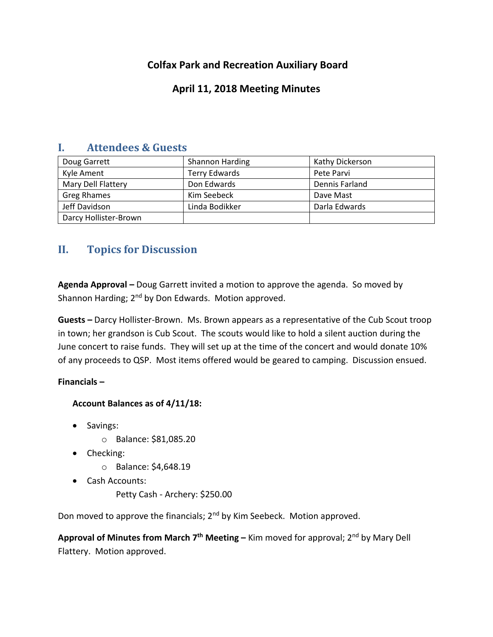# **Colfax Park and Recreation Auxiliary Board**

### **April 11, 2018 Meeting Minutes**

| . .<br>muthemets de gals d |                        |                 |
|----------------------------|------------------------|-----------------|
| Doug Garrett               | <b>Shannon Harding</b> | Kathy Dickerson |
| Kyle Ament                 | <b>Terry Edwards</b>   | Pete Parvi      |
| Mary Dell Flattery         | Don Edwards            | Dennis Farland  |
| Greg Rhames                | Kim Seebeck            | Dave Mast       |
| Jeff Davidson              | Linda Bodikker         | Darla Edwards   |
| Darcy Hollister-Brown      |                        |                 |

# **I. Attendees & Guests**

# **II. Topics for Discussion**

**Agenda Approval –** Doug Garrett invited a motion to approve the agenda. So moved by Shannon Harding;  $2<sup>nd</sup>$  by Don Edwards. Motion approved.

**Guests –** Darcy Hollister-Brown. Ms. Brown appears as a representative of the Cub Scout troop in town; her grandson is Cub Scout. The scouts would like to hold a silent auction during the June concert to raise funds. They will set up at the time of the concert and would donate 10% of any proceeds to QSP. Most items offered would be geared to camping. Discussion ensued.

**Financials –**

#### **Account Balances as of 4/11/18:**

- Savings:
	- o Balance: \$81,085.20
- Checking:
	- o Balance: \$4,648.19
- Cash Accounts:

Petty Cash - Archery: \$250.00

Don moved to approve the financials; 2<sup>nd</sup> by Kim Seebeck. Motion approved.

**Approval of Minutes from March 7 th Meeting –** Kim moved for approval; 2nd by Mary Dell Flattery. Motion approved.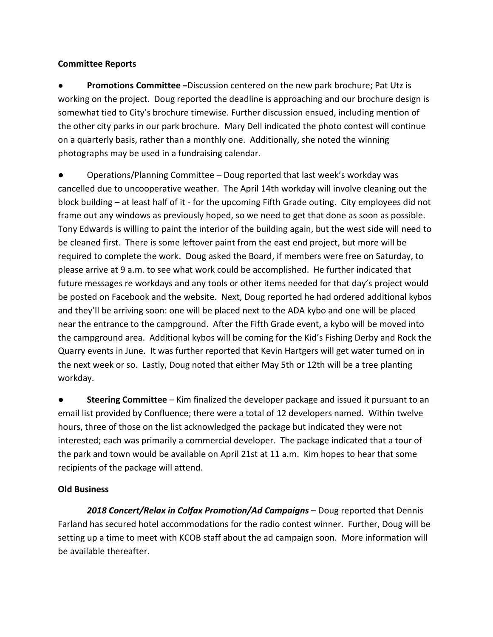#### **Committee Reports**

● **Promotions Committee –**Discussion centered on the new park brochure; Pat Utz is working on the project. Doug reported the deadline is approaching and our brochure design is somewhat tied to City's brochure timewise. Further discussion ensued, including mention of the other city parks in our park brochure. Mary Dell indicated the photo contest will continue on a quarterly basis, rather than a monthly one. Additionally, she noted the winning photographs may be used in a fundraising calendar.

Operations/Planning Committee – Doug reported that last week's workday was cancelled due to uncooperative weather. The April 14th workday will involve cleaning out the block building – at least half of it - for the upcoming Fifth Grade outing. City employees did not frame out any windows as previously hoped, so we need to get that done as soon as possible. Tony Edwards is willing to paint the interior of the building again, but the west side will need to be cleaned first. There is some leftover paint from the east end project, but more will be required to complete the work. Doug asked the Board, if members were free on Saturday, to please arrive at 9 a.m. to see what work could be accomplished. He further indicated that future messages re workdays and any tools or other items needed for that day's project would be posted on Facebook and the website. Next, Doug reported he had ordered additional kybos and they'll be arriving soon: one will be placed next to the ADA kybo and one will be placed near the entrance to the campground. After the Fifth Grade event, a kybo will be moved into the campground area. Additional kybos will be coming for the Kid's Fishing Derby and Rock the Quarry events in June. It was further reported that Kevin Hartgers will get water turned on in the next week or so. Lastly, Doug noted that either May 5th or 12th will be a tree planting workday.

**Steering Committee** – Kim finalized the developer package and issued it pursuant to an email list provided by Confluence; there were a total of 12 developers named. Within twelve hours, three of those on the list acknowledged the package but indicated they were not interested; each was primarily a commercial developer. The package indicated that a tour of the park and town would be available on April 21st at 11 a.m. Kim hopes to hear that some recipients of the package will attend.

#### **Old Business**

*2018 Concert/Relax in Colfax Promotion/Ad Campaigns* – Doug reported that Dennis Farland has secured hotel accommodations for the radio contest winner. Further, Doug will be setting up a time to meet with KCOB staff about the ad campaign soon. More information will be available thereafter.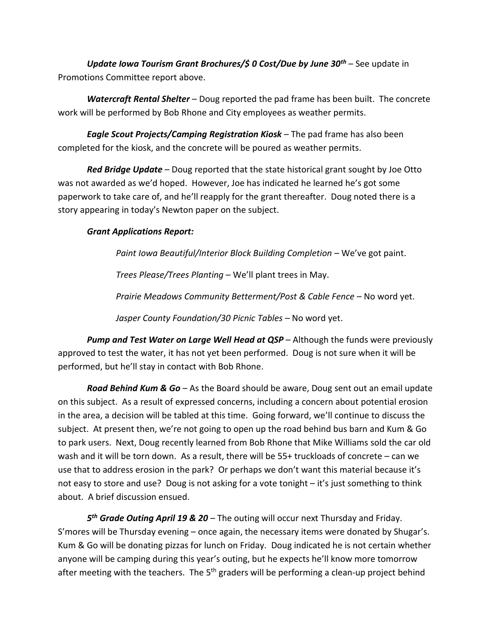*Update Iowa Tourism Grant Brochures/\$ 0 Cost/Due by June 30th* – See update in Promotions Committee report above.

*Watercraft Rental Shelter* – Doug reported the pad frame has been built. The concrete work will be performed by Bob Rhone and City employees as weather permits.

*Eagle Scout Projects/Camping Registration Kiosk* – The pad frame has also been completed for the kiosk, and the concrete will be poured as weather permits.

*Red Bridge Update* – Doug reported that the state historical grant sought by Joe Otto was not awarded as we'd hoped. However, Joe has indicated he learned he's got some paperwork to take care of, and he'll reapply for the grant thereafter. Doug noted there is a story appearing in today's Newton paper on the subject.

#### *Grant Applications Report:*

*Paint Iowa Beautiful/Interior Block Building Completion* – We've got paint.

*Trees Please/Trees Planting* – We'll plant trees in May.

*Prairie Meadows Community Betterment/Post & Cable Fence* – No word yet.

*Jasper County Foundation/30 Picnic Tables* – No word yet.

*Pump and Test Water on Large Well Head at QSP* – Although the funds were previously approved to test the water, it has not yet been performed. Doug is not sure when it will be performed, but he'll stay in contact with Bob Rhone.

*Road Behind Kum & Go* – As the Board should be aware, Doug sent out an email update on this subject. As a result of expressed concerns, including a concern about potential erosion in the area, a decision will be tabled at this time. Going forward, we'll continue to discuss the subject. At present then, we're not going to open up the road behind bus barn and Kum & Go to park users. Next, Doug recently learned from Bob Rhone that Mike Williams sold the car old wash and it will be torn down. As a result, there will be 55+ truckloads of concrete – can we use that to address erosion in the park? Or perhaps we don't want this material because it's not easy to store and use? Doug is not asking for a vote tonight – it's just something to think about. A brief discussion ensued.

*5 th Grade Outing April 19 & 20* – The outing will occur next Thursday and Friday. S'mores will be Thursday evening – once again, the necessary items were donated by Shugar's. Kum & Go will be donating pizzas for lunch on Friday. Doug indicated he is not certain whether anyone will be camping during this year's outing, but he expects he'll know more tomorrow after meeting with the teachers. The  $5<sup>th</sup>$  graders will be performing a clean-up project behind